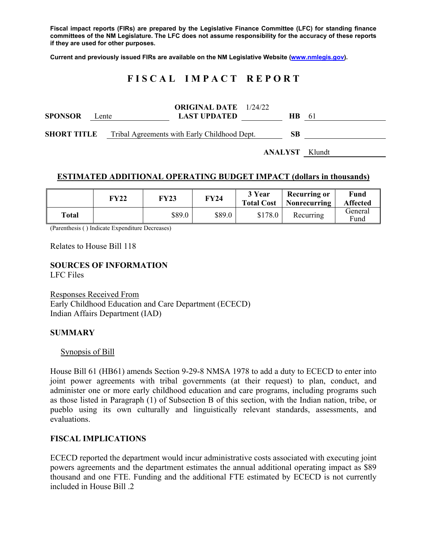**Fiscal impact reports (FIRs) are prepared by the Legislative Finance Committee (LFC) for standing finance committees of the NM Legislature. The LFC does not assume responsibility for the accuracy of these reports if they are used for other purposes.** 

**Current and previously issued FIRs are available on the NM Legislative Website (www.nmlegis.gov).** 

## **F I S C A L I M P A C T R E P O R T**

| <b>SPONSOR</b>     | Lente | <b>ORIGINAL DATE</b> 1/24/22<br><b>LAST UPDATED</b> | HB. | -61 |
|--------------------|-------|-----------------------------------------------------|-----|-----|
| <b>SHORT TITLE</b> |       | Tribal Agreements with Early Childhood Dept.        | SВ  |     |

**ANALYST** Klundt

### **ESTIMATED ADDITIONAL OPERATING BUDGET IMPACT (dollars in thousands)**

|       | FY22 | FY23   | <b>FY24</b> | 3 Year<br><b>Total Cost</b> | <b>Recurring or</b><br>Nonrecurring | Fund<br><b>Affected</b> |
|-------|------|--------|-------------|-----------------------------|-------------------------------------|-------------------------|
| Total |      | \$89.0 | \$89.0      | \$178.0                     | Recurring                           | General<br>Fund         |

(Parenthesis ( ) Indicate Expenditure Decreases)

Relates to House Bill 118

# **SOURCES OF INFORMATION**

LFC Files

Responses Received From Early Childhood Education and Care Department (ECECD) Indian Affairs Department (IAD)

#### **SUMMARY**

#### Synopsis of Bill

House Bill 61 (HB61) amends Section 9-29-8 NMSA 1978 to add a duty to ECECD to enter into joint power agreements with tribal governments (at their request) to plan, conduct, and administer one or more early childhood education and care programs, including programs such as those listed in Paragraph (1) of Subsection B of this section, with the Indian nation, tribe, or pueblo using its own culturally and linguistically relevant standards, assessments, and evaluations.

#### **FISCAL IMPLICATIONS**

ECECD reported the department would incur administrative costs associated with executing joint powers agreements and the department estimates the annual additional operating impact as \$89 thousand and one FTE. Funding and the additional FTE estimated by ECECD is not currently included in House Bill .2